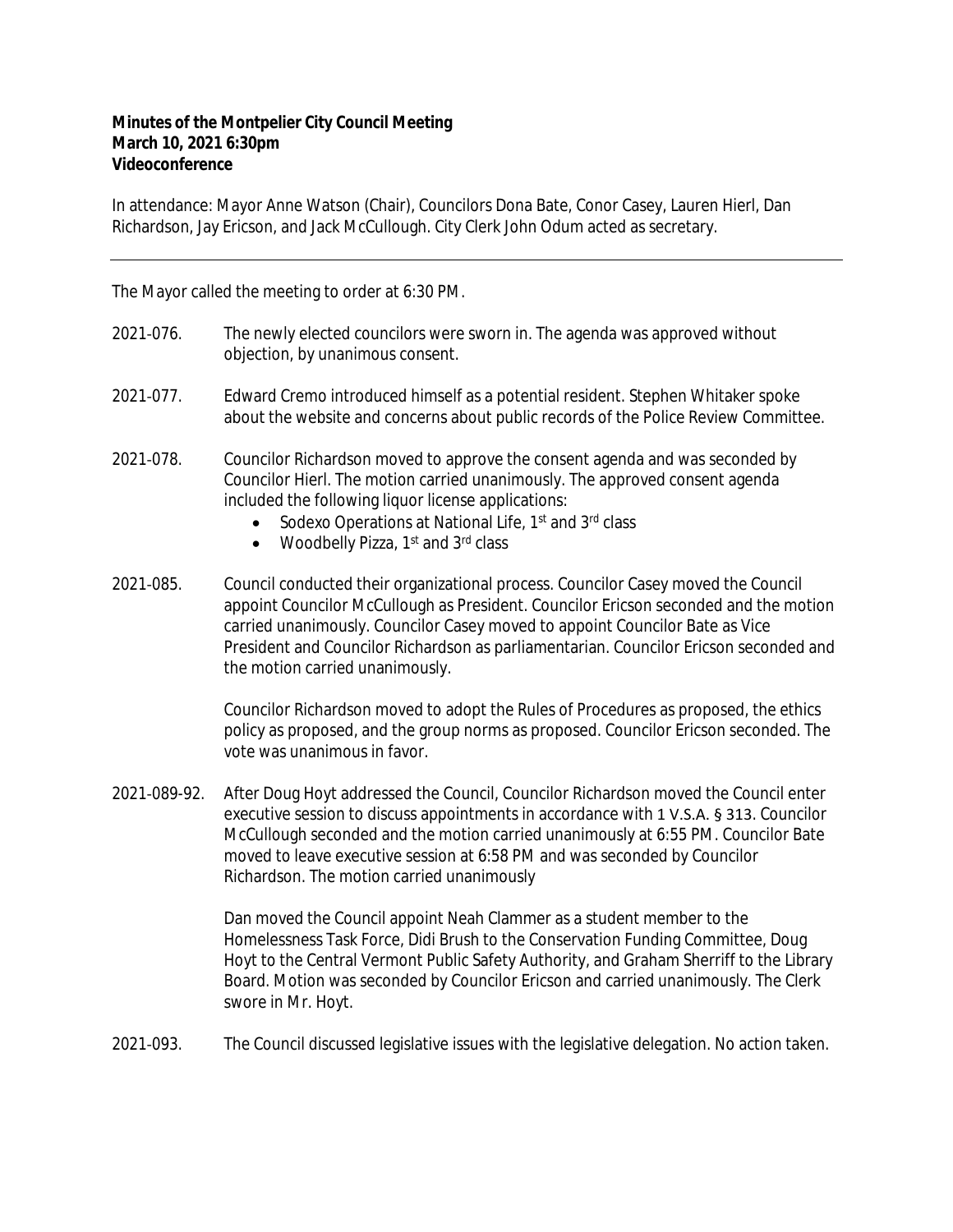## **Minutes of the Montpelier City Council Meeting March 10, 2021 6:30pm Videoconference**

In attendance: Mayor Anne Watson (Chair), Councilors Dona Bate, Conor Casey, Lauren Hierl, Dan Richardson, Jay Ericson, and Jack McCullough. City Clerk John Odum acted as secretary.

The Mayor called the meeting to order at 6:30 PM.

- 2021‐076. The newly elected councilors were sworn in. The agenda was approved without objection, by unanimous consent.
- 2021‐077. Edward Cremo introduced himself as a potential resident. Stephen Whitaker spoke about the website and concerns about public records of the Police Review Committee.
- 2021‐078. Councilor Richardson moved to approve the consent agenda and was seconded by Councilor Hierl. The motion carried unanimously. The approved consent agenda included the following liquor license applications:
	- Sodexo Operations at National Life, 1<sup>st</sup> and 3<sup>rd</sup> class
	- Woodbelly Pizza,  $1<sup>st</sup>$  and  $3<sup>rd</sup>$  class
- 2021‐085. Council conducted their organizational process. Councilor Casey moved the Council appoint Councilor McCullough as President. Councilor Ericson seconded and the motion carried unanimously. Councilor Casey moved to appoint Councilor Bate as Vice President and Councilor Richardson as parliamentarian. Councilor Ericson seconded and the motion carried unanimously.

Councilor Richardson moved to adopt the Rules of Procedures as proposed, the ethics policy as proposed, and the group norms as proposed. Councilor Ericson seconded. The vote was unanimous in favor.

2021‐089-92. After Doug Hoyt addressed the Council, Councilor Richardson moved the Council enter executive session to discuss appointments in accordance with 1 V.S.A. § 313. Councilor McCullough seconded and the motion carried unanimously at 6:55 PM. Councilor Bate moved to leave executive session at 6:58 PM and was seconded by Councilor Richardson. The motion carried unanimously

> Dan moved the Council appoint Neah Clammer as a student member to the Homelessness Task Force, Didi Brush to the Conservation Funding Committee, Doug Hoyt to the Central Vermont Public Safety Authority, and Graham Sherriff to the Library Board. Motion was seconded by Councilor Ericson and carried unanimously. The Clerk swore in Mr. Hoyt.

2021‐093. The Council discussed legislative issues with the legislative delegation. No action taken.